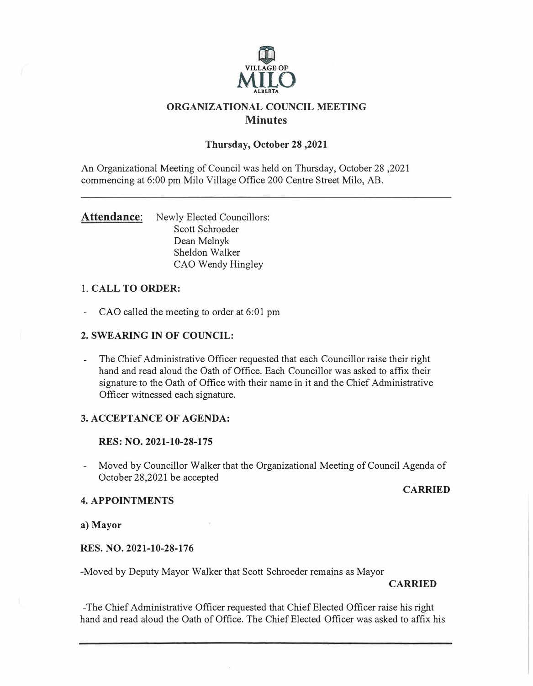

# **ORGANIZATIONAL COUNCIL MEETING Minutes**

# **Thursday, October 28 ,2021**

An Organizational Meeting of Council was held on Thursday, October 28 ,2021 commencing at 6:00 pm Milo Village Office 200 Centre Street Milo, AB.

Attendance: Newly Elected Councillors: Scott Schroeder Dean Melnyk Sheldon Walker CAO Wendy Hingley

# 1. **CALL TO ORDER:**

- CAO called the meeting to order at 6:01 pm

# **2. SWEARING IN OF COUNCIL:**

- The Chief Administrative Officer requested that each Councillor raise their right hand and read aloud the Oath of Office. Each Councillor was asked to affix their signature to the Oath of Office with their name in it and the Chief Administrative Officer witnessed each signature.

# **3. ACCEPTANCE OF AGENDA:**

# **RES: NO. 2021-10-28-175**

- Moved by Councillor Walker that the Organizational Meeting of Council Agenda of October 28,2021 be accepted

# **CARRIED**

# **4. APPOINTMENTS**

**a) Mayor**

# **RES. NO. 2021-10-28-176**

-Moved by Deputy Mayor Walker that Scott Schroeder remains as Mayor

# **CARRIED**

-The Chief Administrative Officer requested that Chief Elected Officer raise his right hand and read aloud the Oath of Office. The Chief Elected Officer was asked to affix his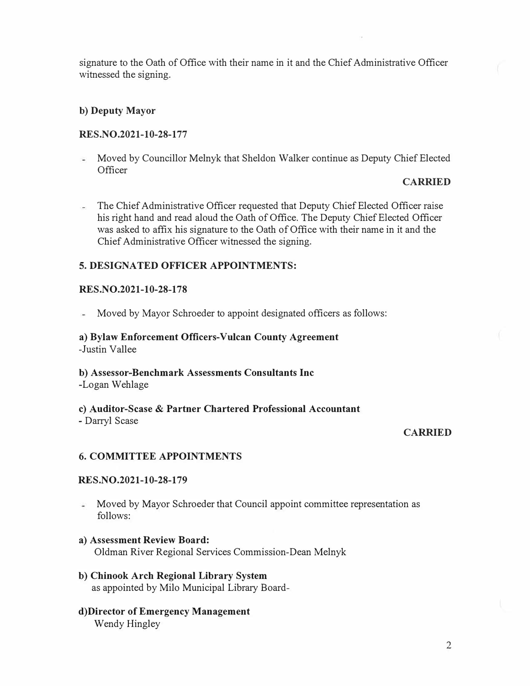signature to the Oath of Office with their name in it and the Chief Administrative Officer witnessed the signing.

# **b) Deputy Mayor**

# **RES.NO.2021-10-28-177**

 $\overline{a}$ Moved by Councillor Melnyk that Sheldon Walker continue as Deputy Chief Elected **Officer** 

#### **CARRIED**

 $\overline{a}$ The Chief Administrative Officer requested that Deputy Chief Elected Officer raise his right hand and read aloud the Oath of Office. The Deputy Chief Elected Officer was asked to affix his signature to the Oath of Office with their name in it and the Chief Administrative Officer witnessed the signing.

# **5. DESIGNATED OFFICER APPOINTMENTS:**

#### **RES.NO.2021-10-28-178**

Moved by Mayor Schroeder to appoint designated officers as follows: i.

# **a) Bylaw Enforcement Officers-Vulcan County Agreement** -Justin Vallee

# **b) Assessor-Benchmark Assessments Consultants Inc**

-Logan Wehlage

#### **c) Auditor-Sease** & **Partner Chartered Professional Accountant** - Darryl Sease

#### **CARRIED**

# **6. COMMITTEE APPOINTMENTS**

#### **RES.NO.2021-10-28-179**

- ಮ Moved by Mayor Schroeder that Council appoint committee representation as follows:
- **a) Assessment Review Board:** Oldman River Regional Services Commission-Dean Melnyk
- **b) Chinook Arch Regional Library System** as appointed by Milo Municipal Library Board-
- **d)Director of Emergency Management**  Wendy Hingley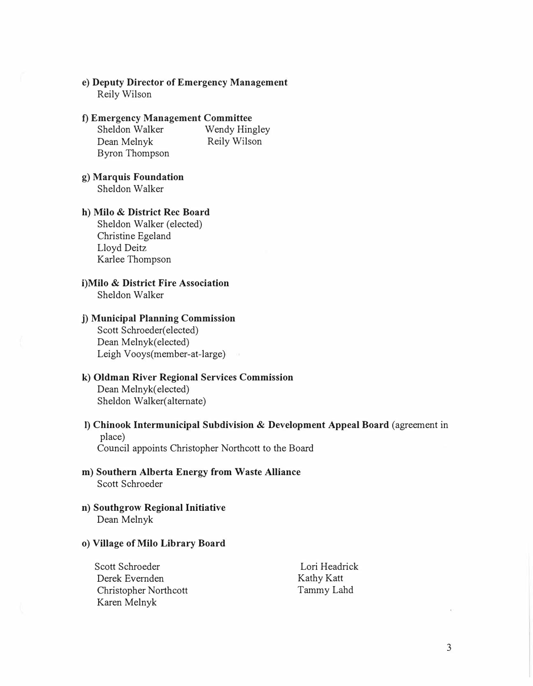#### **e) Deputy Director of Emergency Management** Reily Wilson

## **f) Emergency Management Committee**

Sheldon Walker Wendy Hingley<br>Dean Melnyk Reily Wilson Dean Melnyk Byron Thompson

#### **g) Marquis Foundation** Sheldon Walker

#### **h) Milo** & **District Rec Board**

Sheldon Walker (elected) Christine Egeland Lloyd Deitz Karlee Thompson

# **i)Milo** & **District Fire Association**

Sheldon Walker

#### **j) Municipal Planning Commission**

Scott Schroeder(elected) Dean Melnyk(elected) Leigh Vooys(member-at-large)

# **k) Oldman River Regional Services Commission**

Dean Melnyk( elected) Sheldon Walker( alternate)

# I) **Chinook Intermunicipal Subdivision** & **Development Appeal Board** (agreement in place)

Council appoints Christopher Northcott to the Board

#### **m) Southern Alberta Energy from Waste Alliance** Scott Schroeder

**n) Southgrow Regional Initiative** Dean Melnyk

#### **o) Village of Milo Library Board**

Scott Schroeder Derek Evernden Christopher Northcott Karen Melnyk Lori Headrick Kathy Katt TammyLahd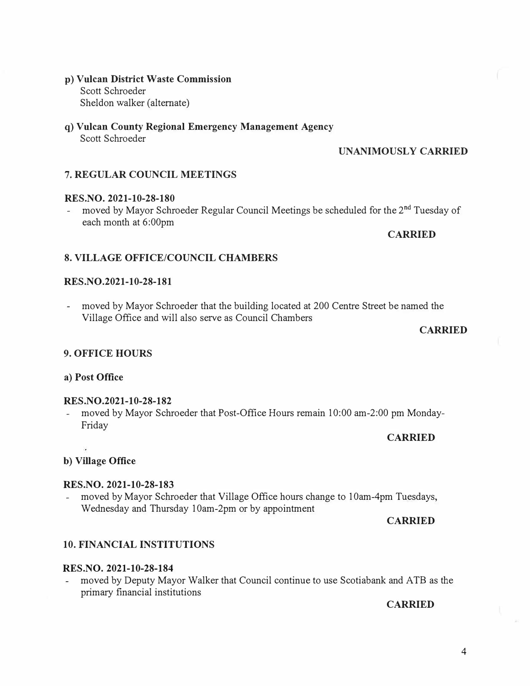## **p) Vulcan District Waste Commission** Scott Schroeder Sheldon walker (alternate)

**q) Vulcan County Regional Emergency Management Agency** Scott Schroeder

# **UNANIMOUSLY CARRIED**

# **7. REGULAR COUNCIL MEETINGS**

# **RES.NO. 2021-10-28-180**

- moved by Mayor Schroeder Regular Council Meetings be scheduled for the 2<sup>nd</sup> Tuesday of each month at 6:00pm

# **CARRIED**

# **8. VILLAGE OFFICE/COUNCIL CHAMBERS**

# **RES.NO.2021-10-28-181**

- moved by Mayor Schroeder that the building located at 200 Centre Street be named the Village Office and will also serve as Council Chambers

# **CARRIED**

# **9. OFFICE HOURS**

# **a) Post Office**

# **RES.NO.2021-10-28-182**

- moved by Mayor Schroeder that Post-Office Hours remain 10:00 am-2:00 pm Monday-Friday

# **CARRIED**

# **b) Village Office**

# **RES.NO. 2021-10-28-183**

moved by Mayor Schroeder that Village Office hours change to 10am-4pm Tuesdays, Wednesday and Thursday 10am-2pm or by appointment

# **CARRIED**

# **10. FINANCIAL INSTITUTIONS**

# **RES.NO. 2021-10-28-184**

- moved by Deputy Mayor Walker that Council continue to use Scotiabank and ATB as the primary financial institutions

# **CARRIED**